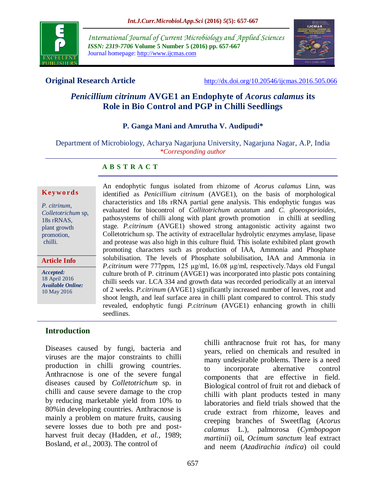

*International Journal of Current Microbiology and Applied Sciences ISSN: 2319-7706* **Volume 5 Number 5 (2016) pp. 657-667** Journal homepage: http://www.ijcmas.com



**Original Research Article** <http://dx.doi.org/10.20546/ijcmas.2016.505.066>

# *Penicillium citrinum* **AVGE1 an Endophyte of** *Acorus calamus* **its Role in Bio Control and PGP in Chilli Seedlings**

#### **P. Ganga Mani and Amrutha V. Audipudi\***

Department of Microbiology, Acharya Nagarjuna University, Nagarjuna Nagar, A.P, India *\*Corresponding author*

#### **A B S T R A C T**

#### **K ey w o rd s**

*P. citrinum*, *Colletotrichum* sp, 18s rRNAS, plant growth promotion, chilli.

#### **Article Info**

*Accepted:*  18 April 2016 *Available Online:* 10 May 2016

An endophytic fungus isolated from rhizome of *Acorus calamus* Linn, was identified as *Penicillium citrinum* (AVGE1), on the basis of morphological characteristics and 18s rRNA partial gene analysis. This endophytic fungus was evaluated for biocontrol of *Collitotrichum acutatum* and *C. gloeosporioides*, pathosystems of chilli along with plant growth promotion in chilli at seedling stage. *P.citrinum* (AVGE1) showed strong antagonistic activity against two Colletotrichum sp. The activity of extracellular hydrolytic enzymes amylase, lipase and protease was also high in this culture fluid. This isolate exhibited plant growth promoting characters such as production of IAA, Ammonia and Phosphate solubilisation. The levels of Phosphate solubilisation, IAA and Ammonia in *P.citrinum* were 777ppm, 125 μg/ml, 16.08 μg/ml, respectively.7days old Fungal culture broth of P. citrinum (AVGE1) was incorporated into plastic pots containing chilli seeds var. LCA 334 and growth data was recorded periodically at an interval of 2 weeks. *P.citrinum* (AVGE1) significantly increased number of leaves, root and shoot length, and leaf surface area in chilli plant compared to control. This study revealed, endophytic fungi *P.citrinum* (AVGE1) enhancing growth in chilli seedlings.

#### **Introduction**

Diseases caused by fungi, bacteria and viruses are the major constraints to chilli production in chilli growing countries. Anthracnose is one of the severe fungal diseases caused by *Colletotrichum* sp. in chilli and cause severe damage to the crop by reducing marketable yield from 10% to 80%in developing countries. Anthracnose is mainly a problem on mature fruits, causing severe losses due to both pre and postharvest fruit decay (Hadden, *et al.,* 1989; Bosland, *et al.,* 2003). The control of

chilli anthracnose fruit rot has, for many years, relied on chemicals and resulted in many undesirable problems. There is a need to incorporate alternative control components that are effective in field. Biological control of fruit rot and dieback of chilli with plant products tested in many laboratories and field trials showed that the crude extract from rhizome, leaves and creeping branches of Sweetflag (*Acorus calamus* L.), palmorosa (*Cymbopogon martinii*) oil, *Ocimum sanctum* leaf extract and neem (*Azadirachia indica*) oil could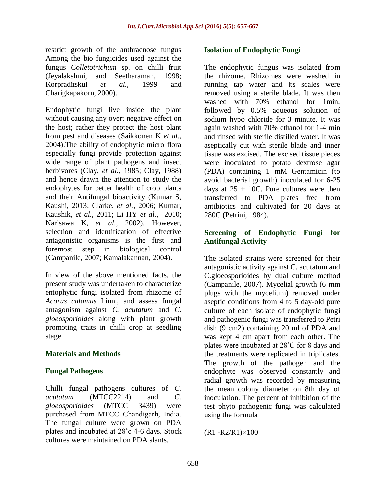restrict growth of the anthracnose fungus Among the bio fungicides used against the fungus *Colletotrichum* sp. on chilli fruit (Jeyalakshmi, and Seetharaman, 1998; Korpraditskul *et al.,* 1999 and Charigkapakorn, 2000).

Endophytic fungi live inside the plant without causing any overt negative effect on the host; rather they protect the host plant from pest and diseases (Saikkonen K *et al.,* 2004).The ability of endophytic micro flora especially fungi provide protection against wide range of plant pathogens and insect herbivores (Clay, *et al.,* 1985; Clay, 1988) and hence drawn the attention to study the endophytes for better health of crop plants and their Antifungal bioactivity (Kumar S, Kaushi, 2013; Clarke, *et al.,* 2006; Kumar, Kaushik, *et al.,* 2011; Li HY *et al.,* 2010; Narisawa K, *et al.,* 2002). However, selection and identification of effective antagonistic organisms is the first and foremost step in biological control (Campanile, 2007; Kamalakannan, 2004).

In view of the above mentioned facts, the present study was undertaken to characterize entophytic fungi isolated from rhizome of *Acorus calamus* Linn., and assess fungal antagonism against *C. acutatum* and *C. gloeosporioides* along with plant growth promoting traits in chilli crop at seedling stage.

#### **Materials and Methods**

#### **Fungal Pathogens**

Chilli fungal pathogens cultures of *C. acutatum* (MTCC2214) and *C. gloeosporioides* (MTCC 3439) were purchased from MTCC Chandigarh, India. The fungal culture were grown on PDA plates and incubated at 28˚c 4-6 days. Stock cultures were maintained on PDA slants.

#### **Isolation of Endophytic Fungi**

The endophytic fungus was isolated from the rhizome. Rhizomes were washed in running tap water and its scales were removed using a sterile blade. It was then washed with 70% ethanol for 1min, followed by 0.5% aqueous solution of sodium hypo chloride for 3 minute. It was again washed with 70% ethanol for 1-4 min and rinsed with sterile distilled water. It was aseptically cut with sterile blade and inner tissue was excised. The excised tissue pieces were inoculated to potato dextrose agar (PDA) containing 1 mM Gentamicin (to avoid bacterial growth) inoculated for 6-25 days at  $25 \pm 10$ C. Pure cultures were then transferred to PDA plates free from antibiotics and cultivated for 20 days at 280C (Petrini, 1984).

## **Screening of Endophytic Fungi for Antifungal Activity**

The isolated strains were screened for their antagonistic activity against C. acutatum and C.gloeosporioides by dual culture method (Campanile, 2007). Mycelial growth (6 mm plugs with the mycelium) removed under aseptic conditions from 4 to 5 day-old pure culture of each isolate of endophytic fungi and pathogenic fungi was transferred to Petri dish (9 cm2) containing 20 ml of PDA and was kept 4 cm apart from each other. The plates were incubated at 28˚C for 8 days and the treatments were replicated in triplicates. The growth of the pathogen and the endophyte was observed constantly and radial growth was recorded by measuring the mean colony diameter on 8th day of inoculation. The percent of inhibition of the test phyto pathogenic fungi was calculated using the formula

 $(R1 - R2/R1) \times 100$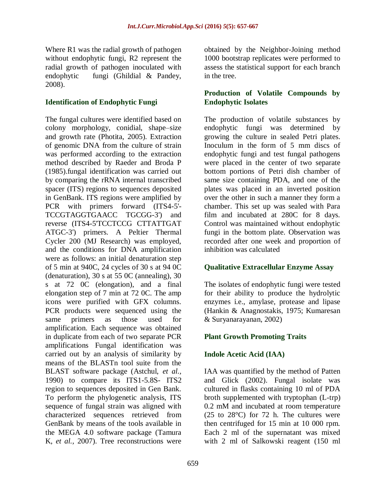Where R1 was the radial growth of pathogen without endophytic fungi, R2 represent the radial growth of pathogen inoculated with endophytic fungi (Ghildial & Pandey, 2008).

## **Identification of Endophytic Fungi**

The fungal cultures were identified based on colony morphology, conidial, shape–size and growth rate (Photita, 2005). Extraction of genomic DNA from the culture of strain was performed according to the extraction method described by Raeder and Broda P (1985).fungal identification was carried out by comparing the rRNA internal transcribed spacer (ITS) regions to sequences deposited in GenBank. ITS regions were amplified by PCR with primers forward (ITS4-5'- TCCGTAGGTGAACC TGCGG-3') and reverse (ITS4-5'TCCTCCG CTTATTGAT ATGC-3') primers. A Peltier Thermal Cycler 200 (MJ Research) was employed, and the conditions for DNA amplification were as follows: an initial denaturation step of 5 min at 940C, 24 cycles of 30 s at 94 0C (denaturation), 30 s at 55 0C (annealing), 30 s at 72 0C (elongation), and a final elongation step of 7 min at 72 0C. The amp icons were purified with GFX columns. PCR products were sequenced using the same primers as those used for amplification. Each sequence was obtained in duplicate from each of two separate PCR amplifications Fungal identification was carried out by an analysis of similarity by means of the BLASTn tool suite from the BLAST software package (Astchul, *et al.,* 1990) to compare its ITS1-5.8S- ITS2 region to sequences deposited in Gen Bank. To perform the phylogenetic analysis, ITS sequence of fungal strain was aligned with characterized sequences retrieved from GenBank by means of the tools available in the MEGA 4.0 software package (Tamura K, *et al.,* 2007). Tree reconstructions were

obtained by the Neighbor-Joining method 1000 bootstrap replicates were performed to assess the statistical support for each branch in the tree.

## **Production of Volatile Compounds by Endophytic Isolates**

The production of volatile substances by endophytic fungi was determined by growing the culture in sealed Petri plates. Inoculum in the form of 5 mm discs of endophytic fungi and test fungal pathogens were placed in the center of two separate bottom portions of Petri dish chamber of same size containing PDA, and one of the plates was placed in an inverted position over the other in such a manner they form a chamber. This set up was sealed with Para film and incubated at 280C for 8 days. Control was maintained without endophytic fungi in the bottom plate. Observation was recorded after one week and proportion of inhibition was calculated

# **Qualitative Extracellular Enzyme Assay**

The isolates of endophytic fungi were tested for their ability to produce the hydrolytic enzymes i.e., amylase, protease and lipase (Hankin & Anagnostakis, 1975; Kumaresan & Suryanarayanan, 2002)

#### **Plant Growth Promoting Traits**

# **Indole Acetic Acid (IAA)**

IAA was quantified by the method of Patten and Glick (2002). Fungal isolate was cultured in flasks containing 10 ml of PDA broth supplemented with tryptophan (L-trp) 0.2 mM and incubated at room temperature  $(25 \text{ to } 28^{\circ}\text{C})$  for 72 h. The cultures were then centrifuged for 15 min at 10 000 rpm. Each 2 ml of the supernatant was mixed with 2 ml of Salkowski reagent (150 ml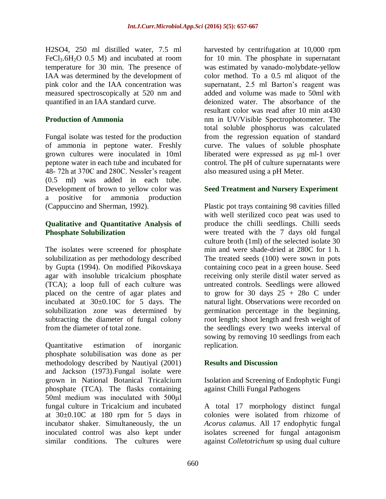H2SO4, 250 ml distilled water, 7.5 ml  $FeCl<sub>3</sub>·6H<sub>2</sub>O$  0.5 M) and incubated at room temperature for 30 min. The presence of IAA was determined by the development of pink color and the IAA concentration was measured spectroscopically at 520 nm and quantified in an IAA standard curve.

## **Production of Ammonia**

Fungal isolate was tested for the production of ammonia in peptone water. Freshly grown cultures were inoculated in 10ml peptone water in each tube and incubated for 48- 72h at 370C and 280C. Nessler's reagent (0.5 ml) was added in each tube. Development of brown to yellow color was a positive for ammonia production (Cappuccino and Sherman, 1992).

#### **Qualitative and Quantitative Analysis of Phosphate Solubilization**

The isolates were screened for phosphate solubilization as per methodology described by Gupta (1994). On modified Pikovskaya agar with insoluble tricalcium phosphate (TCA); a loop full of each culture was placed on the centre of agar plates and incubated at 30±0.10C for 5 days. The solubilization zone was determined by subtracting the diameter of fungal colony from the diameter of total zone.

Quantitative estimation of inorganic phosphate solubilisation was done as per methodology described by Nautiyal (2001) and Jackson (1973).Fungal isolate were grown in National Botanical Tricalcium phosphate (TCA). The flasks containing 50ml medium was inoculated with 500μl fungal culture in Tricalcium and incubated at  $30\pm0.10C$  at 180 rpm for 5 days in incubator shaker. Simultaneously, the un inoculated control was also kept under similar conditions. The cultures were

harvested by centrifugation at 10,000 rpm for 10 min. The phosphate in supernatant was estimated by vanado-molybdate-yellow color method. To a 0.5 ml aliquot of the supernatant, 2.5 ml Barton's reagent was added and volume was made to 50ml with deionized water. The absorbance of the resultant color was read after 10 min at430 nm in UV/Visible Spectrophotometer. The total soluble phosphorus was calculated from the regression equation of standard curve. The values of soluble phosphate liberated were expressed as μg ml-1 over control. The pH of culture supernatants were also measured using a pH Meter.

## **Seed Treatment and Nursery Experiment**

Plastic pot trays containing 98 cavities filled with well sterilized coco peat was used to produce the chilli seedlings. Chilli seeds were treated with the 7 days old fungal culture broth (1ml) of the selected isolate 30 min and were shade-dried at 280C for 1 h. The treated seeds (100) were sown in pots containing coco peat in a green house. Seed receiving only sterile distil water served as untreated controls. Seedlings were allowed to grow for 30 days  $25 + 28$ o C under natural light. Observations were recorded on germination percentage in the beginning, root length; shoot length and fresh weight of the seedlings every two weeks interval of sowing by removing 10 seedlings from each replication.

#### **Results and Discussion**

Isolation and Screening of Endophytic Fungi against Chilli Fungal Pathogens

A total 17 morphology distinct fungal colonies were isolated from rhizome of *Acorus calamus*. All 17 endophytic fungal isolates screened for fungal antagonism against *Colletotrichum* sp using dual culture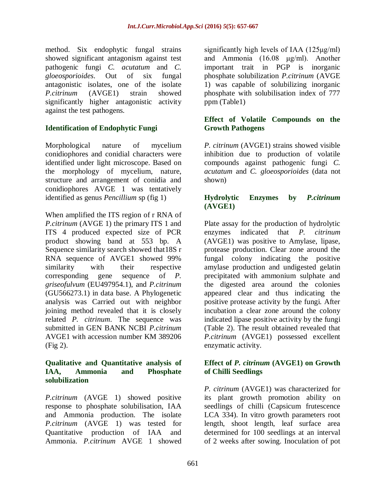method. Six endophytic fungal strains showed significant antagonism against test pathogenic fungi *C. acutatum* and *C. gloeosporioides*. Out of six fungal antagonistic isolates, one of the isolate *P.citrinum* (AVGE1) strain showed significantly higher antagonistic activity against the test pathogens.

## **Identification of Endophytic Fungi**

Morphological nature of mycelium conidiophores and conidial characters were identified under light microscope. Based on the morphology of mycelium, nature, structure and arrangement of conidia and conidiophores AVGE 1 was tentatively identified as genus *Pencillium* sp (fig 1)

When amplified the ITS region of r RNA of *P.citrinum* (AVGE 1) the primary ITS 1 and ITS 4 produced expected size of PCR product showing band at 553 bp. A Sequence similarity search showed that18S r RNA sequence of AVGE1 showed 99% similarity with their respective corresponding gene sequence of *P. griseofulvum* (EU497954.1), and *P.citrinum* (GU566273.1) in data base. A Phylogenetic analysis was Carried out with neighbor joining method revealed that it is closely related *P. citrinum*. The sequence was submitted in GEN BANK NCBI *P.citrinum* AVGE1 with accession number KM 389206 (Fig 2).

#### **Qualitative and Quantitative analysis of IAA, Ammonia and Phosphate solubilization**

*P.citrinum* (AVGE 1) showed positive response to phosphate solubilisation, IAA and Ammonia production. The isolate *P.citrinum* (AVGE 1) was tested for Quantitative production of IAA and Ammonia. *P.citrinum* AVGE 1 showed

significantly high levels of IAA (125μg/ml) and Ammonia (16.08 μg/ml). Another important trait in PGP is inorganic phosphate solubilization *P.citrinum* (AVGE 1) was capable of solubilizing inorganic phosphate with solubilisation index of 777 ppm (Table1)

#### **Effect of Volatile Compounds on the Growth Pathogens**

*P. citrinum* (AVGE1) strains showed visible inhibition due to production of volatile compounds against pathogenic fungi *C. acutatum* and *C. gloeosporioides* (data not shown)

## **Hydrolytic Enzymes by** *P.citrinum* **(AVGE1)**

Plate assay for the production of hydrolytic enzymes indicated that *P. citrinum* (AVGE1) was positive to Amylase, lipase, protease production. Clear zone around the fungal colony indicating the positive amylase production and undigested gelatin precipitated with ammonium sulphate and the digested area around the colonies appeared clear and thus indicating the positive protease activity by the fungi. After incubation a clear zone around the colony indicated lipase positive activity by the fungi (Table 2). The result obtained revealed that *P.citrinum* (AVGE1) possessed excellent enzymatic activity.

#### **Effect of** *P. citrinum* **(AVGE1) on Growth of Chilli Seedlings**

*P. citrinum* (AVGE1) was characterized for its plant growth promotion ability on seedlings of chilli (Capsicum frutescence LCA 334). In vitro growth parameters root length, shoot length, leaf surface area determined for 100 seedlings at an interval of 2 weeks after sowing. Inoculation of pot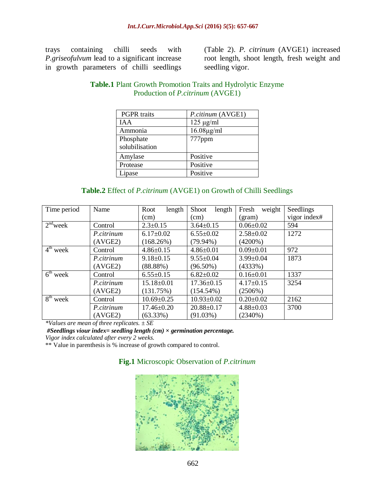trays containing chilli seeds with *P.griseofulvum* lead to a significant increase in growth parameters of chilli seedlings

(Table 2). *P. citrinum* (AVGE1) increased root length, shoot length, fresh weight and seedling vigor.

|                    | Troquetion of Figure them (IVV OLIT) |
|--------------------|--------------------------------------|
| <b>PGPR</b> traits | P.citinum (AVGE1)                    |
| IA A               | $125 \mu g/ml$                       |
| Ammonia            | $16.08\mu g/ml$                      |
| Phosphate          | ppm                                  |

Amylase Positive Protease Positive Lipase Positive

## **Table.1** Plant Growth Promotion Traits and Hydrolytic Enzyme Production of *P.citrinum* (AVGE1)

#### **Table.2** Effect of *P.citrinum* (AVGE1) on Growth of Chilli Seedlings

| Time period | Name       | Root<br>length   | <b>Shoot</b><br>length | weight<br>Fresh | Seedlings    |
|-------------|------------|------------------|------------------------|-----------------|--------------|
|             |            | (cm)             | (cm)                   | (gram)          | vigor index# |
| $2nd$ week  | Control    | $2.3 \pm 0.15$   | $3.64 \pm 0.15$        | $0.06 \pm 0.02$ | 594          |
|             | P.citrinum | $6.17 \pm 0.02$  | $6.55 \pm 0.02$        | $2.58 \pm 0.02$ | 1272         |
|             | (AVGE2)    | (168.26%)        | $(79.94\%)$            | $(4200\%)$      |              |
| $4th$ week  | Control    | $4.86 \pm 0.15$  | $4.86 \pm 0.01$        | $0.09 \pm 0.01$ | 972          |
|             | P.citrinum | $9.18 \pm 0.15$  | $9.55 \pm 0.04$        | $3.99 \pm 0.04$ | 1873         |
|             | (AVGE2)    | $(88.88\%)$      | $(96.50\%)$            | (4333%)         |              |
| $6th$ week  | Control    | $6.55 \pm 0.15$  | $6.82 \pm 0.02$        | $0.16 \pm 0.01$ | 1337         |
|             | P.citrinum | $15.18 \pm 0.01$ | $17.36 \pm 0.15$       | $4.17 \pm 0.15$ | 3254         |
|             | (AVGE2)    | (131.75%)        | $(154.54\%)$           | $(2506\%)$      |              |
| $8th$ week  | Control    | $10.69 \pm 0.25$ | $10.93 \pm 0.02$       | $0.20 \pm 0.02$ | 2162         |
|             | P.citrinum | $17.46 \pm 0.20$ | $20.88 \pm 0.17$       | $4.88 \pm 0.03$ | 3700         |
|             | (AVGE2)    | $(63.33\%)$      | (91.03%)               | (2340%)         |              |

*\*Values are mean of three replicates. ± SE*

*#Seedlings viour index= seedling length (cm) × germination percentage.* 

solubilisation

*Vigor index calculated after every 2 weeks.*

\*\* Value in parenthesis is % increase of growth compared to control.

#### **Fig.1** Microscopic Observation of *P.citrinum*

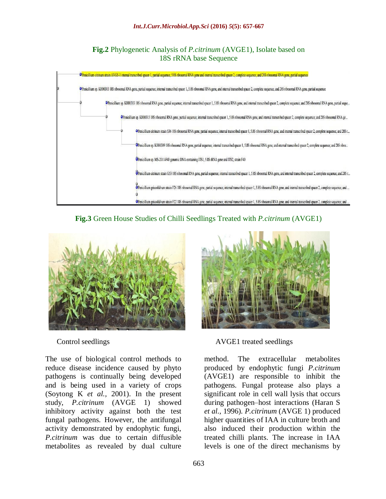#### **Fig.2** Phylogenetic Analysis of *P.citrinum* (AVGE1), Isolate based on 18S rRNA base Sequence







The use of biological control methods to reduce disease incidence caused by phyto pathogens is continually being developed and is being used in a variety of crops (Soytong K *et al.,* 2001). In the present study, *P.citrinum* (AVGE 1) showed inhibitory activity against both the test fungal pathogens. However, the antifungal activity demonstrated by endophytic fungi, *P.citrinum* was due to certain diffusible metabolites as revealed by dual culture



Control seedlings AVGE1 treated seedlings

method. The extracellular metabolites produced by endophytic fungi *P.citrinum* (AVGE1) are responsible to inhibit the pathogens. Fungal protease also plays a significant role in cell wall lysis that occurs during pathogen–host interactions (Haran S *et al.,* 1996). *P.citrinum* (AVGE 1) produced higher quantities of IAA in culture broth and also induced their production within the treated chilli plants. The increase in IAA levels is one of the direct mechanisms by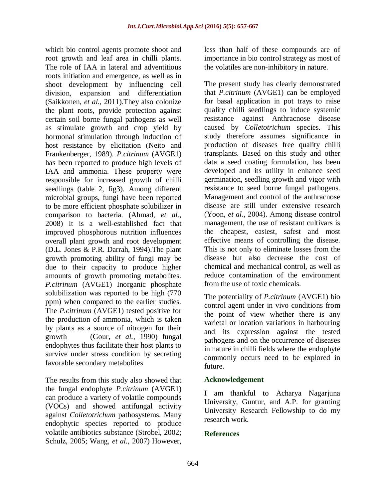which bio control agents promote shoot and root growth and leaf area in chilli plants. The role of IAA in lateral and adventitious roots initiation and emergence, as well as in shoot development by influencing cell division, expansion and differentiation (Saikkonen, *et al.,* 2011).They also colonize the plant roots, provide protection against certain soil borne fungal pathogens as well as stimulate growth and crop yield by hormonal stimulation through induction of host resistance by elicitation (Neito and Frankenberger, 1989). *P.citrinum* (AVGE1) has been reported to produce high levels of IAA and ammonia. These property were responsible for increased growth of chilli seedlings (table 2, fig3). Among different microbial groups, fungi have been reported to be more efficient phosphate solubilizer in comparison to bacteria. (Ahmad, *et al.,* 2008) It is a well-established fact that improved phosphorous nutrition influences overall plant growth and root development (D.L. Jones & P.R. Darrah, 1994).The plant growth promoting ability of fungi may be due to their capacity to produce higher amounts of growth promoting metabolites. *P.citrinum* (AVGE1) Inorganic phosphate solubilization was reported to be high (770 ppm) when compared to the earlier studies. The *P.citrinum* (AVGE1) tested positive for the production of ammonia, which is taken by plants as a source of nitrogen for their growth (Gour, *et al.,* 1990) fungal endophytes thus facilitate their host plants to survive under stress condition by secreting favorable secondary metabolites

The results from this study also showed that the fungal endophyte *P.citrinum* (AVGE1) can produce a variety of volatile compounds (VOCs) and showed antifungal activity against *Colletotrichum* pathosystems. Many endophytic species reported to produce volatile antibiotics substance (Strobel, 2002; Schulz, 2005; Wang, *et al.,* 2007) However,

less than half of these compounds are of importance in bio control strategy as most of the volatiles are non-inhibitory in nature.

The present study has clearly demonstrated that *P.citrinum* (AVGE1) can be employed for basal application in pot trays to raise quality chilli seedlings to induce systemic resistance against Anthracnose disease caused by *Colletotrichum* species. This study therefore assumes significance in production of diseases free quality chilli transplants. Based on this study and other data a seed coating formulation, has been developed and its utility in enhance seed germination, seedling growth and vigor with resistance to seed borne fungal pathogens. Management and control of the anthracnose disease are still under extensive research (Yoon, *et al.,* 2004). Among disease control management, the use of resistant cultivars is the cheapest, easiest, safest and most effective means of controlling the disease. This is not only to eliminate losses from the disease but also decrease the cost of chemical and mechanical control, as well as reduce contamination of the environment from the use of toxic chemicals.

The potentiality of *P.citrinum* (AVGE1) bio control agent under in vivo conditions from the point of view whether there is any varietal or location variations in harbouring and its expression against the tested pathogens and on the occurrence of diseases in nature in chilli fields where the endophyte commonly occurs need to be explored in future.

# **Acknowledgement**

I am thankful to Acharya Nagarjuna University, Guntur, and A.P. for granting University Research Fellowship to do my research work.

#### **References**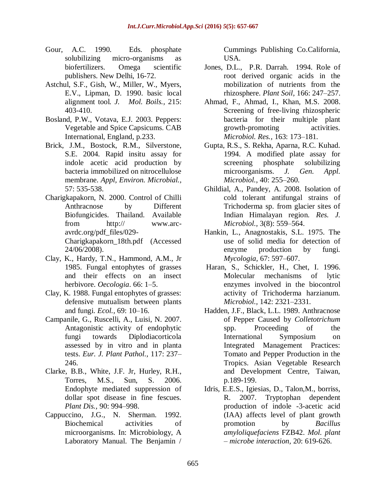- Gour, A.C. 1990. Eds. phosphate solubilizing micro-organisms as biofertilizers. Omega scientific publishers. New Delhi, 16-72.
- Astchul, S.F., Gish, W., Miller, W., Myers, E.V., Lipman, D. 1990. basic local alignment tool*. J. Mol. Boils.,* 215: 403-410.
- Bosland, P.W., Votava, E.J. 2003. Peppers: Vegetable and Spice Capsicums. CAB International, England, p.233.
- Brick, J.M., Bostock, R.M., Silverstone, S.E. 2004. Rapid insitu assay for indole acetic acid production by bacteria immobilized on nitrocellulose membrane. *Appl, Environ. Microbial.,* 57: 535-538.
- Charigkapakorn, N. 2000. Control of Chilli Anthracnose by Different Biofungicides. Thailand. Available from http:// www.arcavrdc.org/pdf\_files/029- Charigkapakorn\_18th.pdf (Accessed 24/06/2008).
- Clay, K., Hardy, T.N., Hammond, A.M., Jr 1985. Fungal entophytes of grasses and their effects on an insect herbivore. *Oecologia*. 66: 1–5.
- Clay, K. 1988. Fungal entophytes of grasses: defensive mutualism between plants and fungi. *Ecol.,* 69: 10–16.
- Campanile, G., Ruscelli, A., Luisi, N. 2007. Antagonistic activity of endophytic fungi towards Diplodiacorticola assessed by in vitro and in planta tests. *Eur. J. Plant Pathol.,* 117: 237– 246.
- Clarke, B.B., White, J.F. Jr, Hurley, R.H., Torres, M.S., Sun, S. 2006. Endophyte mediated suppression of dollar spot disease in fine fescues. *Plant Dis.,* 90: 994–998.
- Cappuccino, J.G., N. Sherman. 1992. Biochemical activities of microorganisms. In: Microbiology, A Laboratory Manual. The Benjamin /

Cummings Publishing Co.California, USA.

- Jones, D.L., P.R. Darrah. 1994. Role of root derived organic acids in the mobilization of nutrients from the rhizosphere. *Plant Soil,* 166: 247–257.
- Ahmad, F., Ahmad, I., Khan, M.S. 2008. Screening of free-living rhizospheric bacteria for their multiple plant growth-promoting activities. *Microbiol. Res.,* 163: 173–181.
- Gupta, R.S., S. Rekha, Aparna, R.C. Kuhad. 1994. A modified plate assay for screening phosphate solubilizing microorganisms. *J. Gen. Appl. Microbiol.*, 40: 255–260.
- Ghildial, A., Pandey, A. 2008. Isolation of cold tolerant antifungal strains of Trichoderma sp. from glacier sites of Indian Himalayan region*. Res. J. Microbiol.,* 3(8): 559–564.
- Hankin, L., Anagnostakis, S.L. 1975. The use of solid media for detection of enzyme production by fungi. *Mycologia,* 67: 597–607.
- Haran, S., Schickler, H., Chet, I. 1996. Molecular mechanisms of lytic enzymes involved in the biocontrol activity of Trichoderma harzianum. *Microbiol.,* 142: 2321–2331.
- Hadden, J.F., Black, L.L. 1989. Anthracnose of Pepper Caused by *Colletotrichum* spp. Proceeding of the International Symposium on Integrated Management Practices: Tomato and Pepper Production in the Tropics. Asian Vegetable Research and Development Centre, Taiwan, p.189-199.
- Idris, E.E.S., Igiesias, D., Talon,M., borriss, R. 2007. Tryptophan dependent production of indole -3-acetic acid (IAA) affects level of plant growth promotion by *Bacillus amyloliquefaciens* FZB42. *Mol. plant – microbe interaction,* 20: 619-626.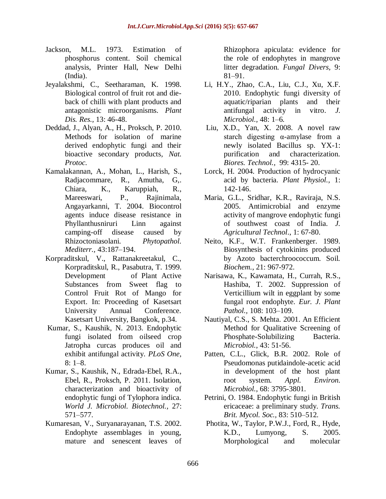- Jackson, M.L. 1973. Estimation of phosphorus content. Soil chemical analysis, Printer Hall, New Delhi (India).
- Jeyalakshmi, C., Seetharaman, K. 1998. Biological control of fruit rot and dieback of chilli with plant products and antagonistic microorganisms. *Plant Dis. Res.,* 13: 46-48.
- Deddad, J., Alyan, A., H., Proksch, P. 2010. Methods for isolation of marine derived endophytic fungi and their bioactive secondary products*, Nat. Protoc.*
- Kamalakannan, A., Mohan, L., Harish, S., Radjacommare, R., Amutha, G,. Chiara, K., Karuppiah, R., Mareeswari, P., Rajinimala, Angayarkanni, T. 2004. Biocontrol agents induce disease resistance in Phyllanthusniruri Linn against camping-off disease caused by Rhizoctoniasolani. *Phytopathol. Mediterr.,* 43:187–194.
- Korpraditskul, V., Rattanakreetakul, C., Korpraditskul, R., Pasabutra, T. 1999. Development of Plant Active Substances from Sweet flag to Control Fruit Rot of Mango for Export. In: Proceeding of Kasetsart University Annual Conference. Kasetsart University, Bangkok, p.34.
- Kumar, S., Kaushik, N. 2013. Endophytic fungi isolated from oilseed crop Jatropha curcas produces oil and exhibit antifungal activity. *PLoS One,* 8: 1–8.
- Kumar, S., Kaushik, N., Edrada-Ebel, R.A., Ebel, R., Proksch, P. 2011. Isolation, characterization and bioactivity of endophytic fungi of Tylophora indica. *World J. Microbiol. Biotechnol.,* 27: 571–577.
- Kumaresan, V., Suryanarayanan, T.S. 2002. Endophyte assemblages in young, mature and senescent leaves of

Rhizophora apiculata: evidence for the role of endophytes in mangrove litter degradation*. Fungal Divers,* 9: 81–91.

- Li, H.Y., Zhao, C.A., Liu, C.J., Xu, X.F. 2010. Endophytic fungi diversity of aquatic/riparian plants and their antifungal activity in vitro. *J. Microbiol.,* 48: 1–6.
- Liu, X.D., Yan, X. 2008. A novel raw starch digesting α-amylase from a newly isolated Bacillus sp. YX-1: purification and characterization. *Biores. Technol.,* 99: 4315- 20.
- Lorck, H. 2004. Production of hydrocyanic acid by bacteria. *Plant Physiol.,* 1: 142-146.
- Maria, G.L., Sridhar, K.R., Raviraja, N.S. 2005. Antimicrobial and enzyme activity of mangrove endophytic fungi of southwest coast of India. *J. Agricultural Technol*., 1: 67-80.
- Neito, K.F., W.T. Frankenberger. 1989. Biosynthesis of cytokinins produced by Azoto bacterchroococcum. Soil. *Biochem.*, 21: 967-972.
- Narisawa, K., Kawamata, H., Currah, R.S., Hashiba, T. 2002. Suppression of Verticillium wilt in eggplant by some fungal root endophyte. *Eur. J. Plant Pathol.,* 108: 103–109.
- Nautiyal, C.S., S. Mehta. 2001. An Efficient Method for Qualitative Screening of Phosphate-Solubilizing Bacteria. *Microbiol.*, 43: 51-56.
- Patten, C.L., Glick, B.R. 2002. Role of Pseudomonas putidaindole-acetic acid in development of the host plant root system. *Appl. Environ. Microbiol.*, 68: 3795-3801.
- Petrini, O. 1984. Endophytic fungi in British ericaceae: a preliminary study. *Trans. Brit. Mycol. Soc.,* 83: 510–512.
- Photita, W., Taylor, P.W.J., Ford, R., Hyde, K.D., Lumyong, S. 2005. Morphological and molecular